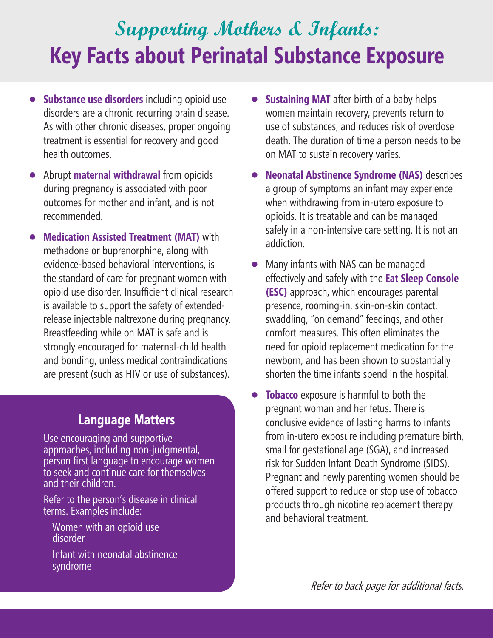## **Supporting Mothers & Infants: Key Facts about Perinatal Substance Exposure**

- **• Substance use disorders** including opioid use disorders are a chronic recurring brain disease. As with other chronic diseases, proper ongoing treatment is essential for recovery and good health outcomes.
- **•** Abrupt **maternal withdrawal** from opioids during pregnancy is associated with poor outcomes for mother and infant, and is not recommended.
- **• Medication Assisted Treatment (MAT)** with methadone or buprenorphine, along with evidence-based behavioral interventions, is the standard of care for pregnant women with opioid use disorder. Insufficient clinical research is available to support the safety of extendedrelease injectable naltrexone during pregnancy. Breastfeeding while on MAT is safe and is strongly encouraged for maternal-child health and bonding, unless medical contraindications are present (such as HIV or use of substances).

## **Language Matters**

Use encouraging and supportive approaches, including non-judgmental, person first language to encourage women to seek and continue care for themselves and their children.

Refer to the person's disease in clinical terms. Examples include:

- Women with an opioid use disorder
- Infant with neonatal abstinence syndrome
- **• Sustaining MAT** after birth of a baby helps women maintain recovery, prevents return to use of substances, and reduces risk of overdose death. The duration of time a person needs to be on MAT to sustain recovery varies.
- **• Neonatal Abstinence Syndrome (NAS)** describes a group of symptoms an infant may experience when withdrawing from in-utero exposure to opioids. It is treatable and can be managed safely in a non-intensive care setting. It is not an addiction.
- **•** Many infants with NAS can be managed effectively and safely with the **Eat Sleep Console (ESC)** approach, which encourages parental presence, rooming-in, skin-on-skin contact, swaddling, "on demand" feedings, and other comfort measures. This often eliminates the need for opioid replacement medication for the newborn, and has been shown to substantially shorten the time infants spend in the hospital.
- **Tobacco** exposure is harmful to both the pregnant woman and her fetus. There is conclusive evidence of lasting harms to infants from in-utero exposure including premature birth, small for gestational age (SGA), and increased risk for Sudden Infant Death Syndrome (SIDS). Pregnant and newly parenting women should be offered support to reduce or stop use of tobacco products through nicotine replacement therapy and behavioral treatment.

Refer to back page for additional facts.